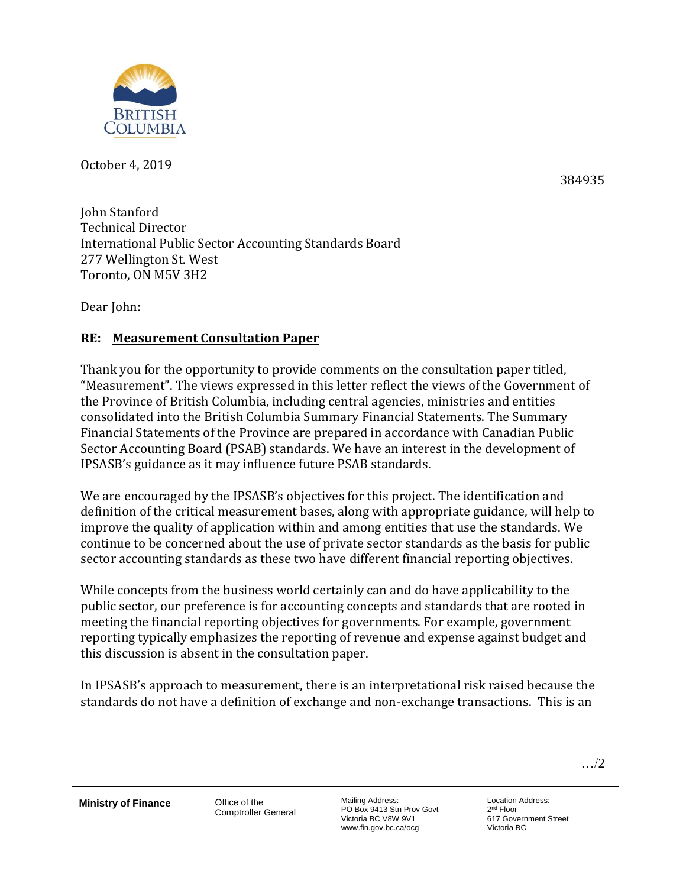

October 4, 2019

384935

John Stanford Technical Director International Public Sector Accounting Standards Board 277 Wellington St. West Toronto, ON M5V 3H2

Dear John:

# **RE: Measurement Consultation Paper**

Thank you for the opportunity to provide comments on the consultation paper titled, "Measurement". The views expressed in this letter reflect the views of the Government of the Province of British Columbia, including central agencies, ministries and entities consolidated into the British Columbia Summary Financial Statements. The Summary Financial Statements of the Province are prepared in accordance with Canadian Public Sector Accounting Board (PSAB) standards. We have an interest in the development of IPSASB's guidance as it may influence future PSAB standards.

We are encouraged by the IPSASB's objectives for this project. The identification and definition of the critical measurement bases, along with appropriate guidance, will help to improve the quality of application within and among entities that use the standards. We continue to be concerned about the use of private sector standards as the basis for public sector accounting standards as these two have different financial reporting objectives.

While concepts from the business world certainly can and do have applicability to the public sector, our preference is for accounting concepts and standards that are rooted in meeting the financial reporting objectives for governments. For example, government reporting typically emphasizes the reporting of revenue and expense against budget and this discussion is absent in the consultation paper.

In IPSASB's approach to measurement, there is an interpretational risk raised because the standards do not have a definition of exchange and non-exchange transactions. This is an

…/2

**Ministry of Finance Office of the** 

Comptroller General

Mailing Address: PO Box 9413 Stn Prov Govt Victoria BC V8W 9V1 www.fin.gov.bc.ca/ocg

Location Address: 2<sup>nd</sup> Floor 617 Government Street Victoria BC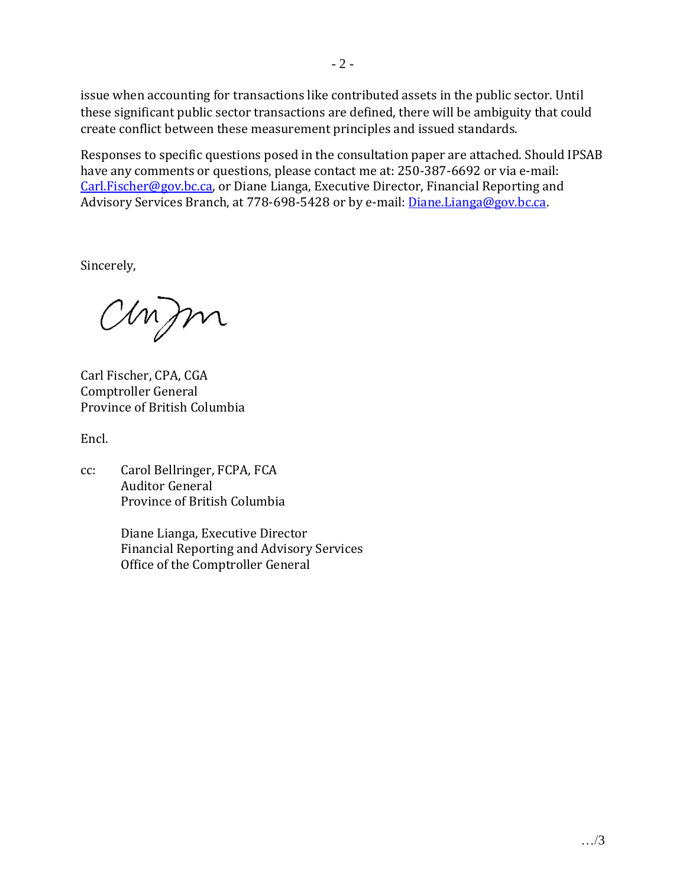issue when accounting for transactions like contributed assets in the public sector. Until these significant public sector transactions are defined, there will be ambiguity that could create conflict between these measurement principles and issued standards.

Responses to specific questions posed in the consultation paper are attached. Should IPSAB have any comments or questions, please contact me at: 250-387-6692 or via e-mail: [Carl.Fischer@gov.bc.ca,](mailto:Carl.Fischer@gov.bc.ca) or Diane Lianga, Executive Director, Financial Reporting and Advisory Services Branch, at 778-698-5428 or by e-mail: *Diane.Lianga@gov.bc.ca.* 

Sincerely,

anfon

Carl Fischer, CPA, CGA Comptroller General Province of British Columbia

Encl.

cc: Carol Bellringer, FCPA, FCA Auditor General Province of British Columbia

> Diane Lianga, Executive Director Financial Reporting and Advisory Services Office of the Comptroller General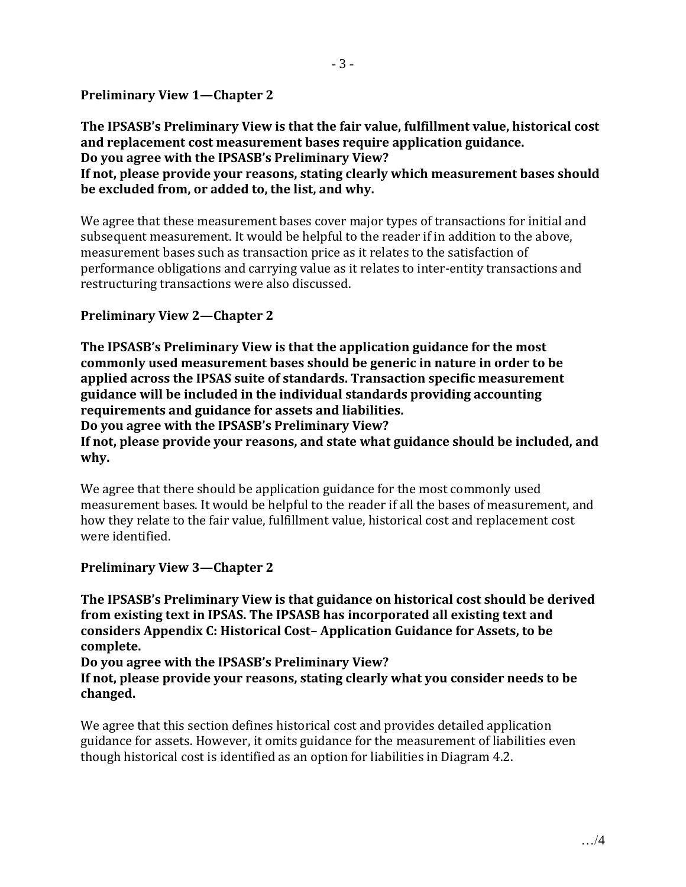# **Preliminary View 1—Chapter 2**

**The IPSASB's Preliminary View is that the fair value, fulfillment value, historical cost and replacement cost measurement bases require application guidance. Do you agree with the IPSASB's Preliminary View?**

**If not, please provide your reasons, stating clearly which measurement bases should be excluded from, or added to, the list, and why.**

We agree that these measurement bases cover major types of transactions for initial and subsequent measurement. It would be helpful to the reader if in addition to the above, measurement bases such as transaction price as it relates to the satisfaction of performance obligations and carrying value as it relates to inter-entity transactions and restructuring transactions were also discussed.

### **Preliminary View 2—Chapter 2**

**The IPSASB's Preliminary View is that the application guidance for the most commonly used measurement bases should be generic in nature in order to be applied across the IPSAS suite of standards. Transaction specific measurement guidance will be included in the individual standards providing accounting requirements and guidance for assets and liabilities. Do you agree with the IPSASB's Preliminary View?**

**If not, please provide your reasons, and state what guidance should be included, and why.**

We agree that there should be application guidance for the most commonly used measurement bases. It would be helpful to the reader if all the bases of measurement, and how they relate to the fair value, fulfillment value, historical cost and replacement cost were identified.

#### **Preliminary View 3—Chapter 2**

**The IPSASB's Preliminary View is that guidance on historical cost should be derived from existing text in IPSAS. The IPSASB has incorporated all existing text and considers Appendix C: Historical Cost– Application Guidance for Assets, to be complete.**

**Do you agree with the IPSASB's Preliminary View?**

**If not, please provide your reasons, stating clearly what you consider needs to be changed.**

We agree that this section defines historical cost and provides detailed application guidance for assets. However, it omits guidance for the measurement of liabilities even though historical cost is identified as an option for liabilities in Diagram 4.2.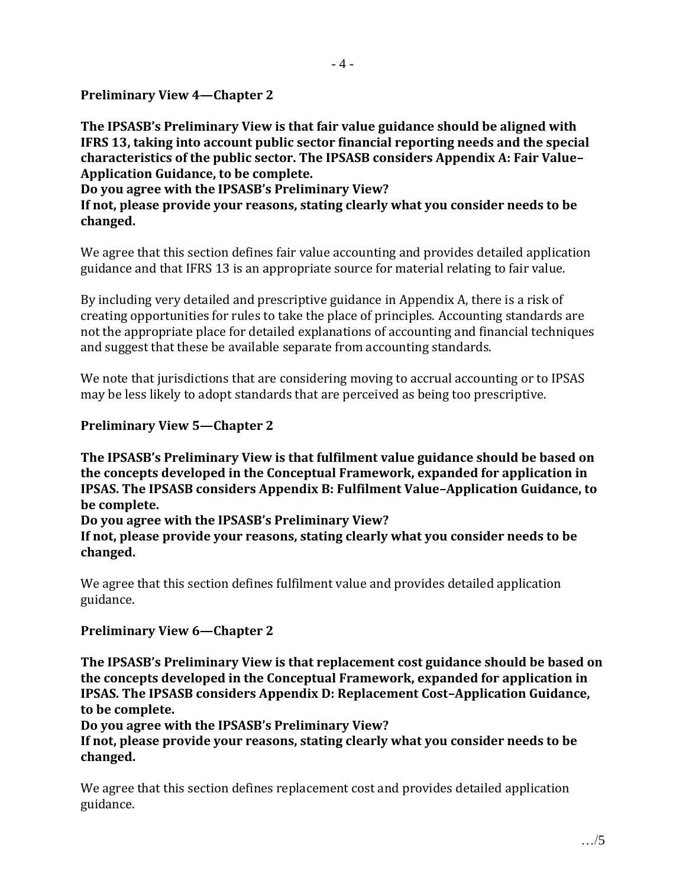**Preliminary View 4—Chapter 2**

**The IPSASB's Preliminary View is that fair value guidance should be aligned with IFRS 13, taking into account public sector financial reporting needs and the special characteristics of the public sector. The IPSASB considers Appendix A: Fair Value– Application Guidance, to be complete.**

**Do you agree with the IPSASB's Preliminary View? If not, please provide your reasons, stating clearly what you consider needs to be changed.**

We agree that this section defines fair value accounting and provides detailed application guidance and that IFRS 13 is an appropriate source for material relating to fair value.

By including very detailed and prescriptive guidance in Appendix A, there is a risk of creating opportunities for rules to take the place of principles. Accounting standards are not the appropriate place for detailed explanations of accounting and financial techniques and suggest that these be available separate from accounting standards.

We note that jurisdictions that are considering moving to accrual accounting or to IPSAS may be less likely to adopt standards that are perceived as being too prescriptive.

# **Preliminary View 5—Chapter 2**

**The IPSASB's Preliminary View is that fulfilment value guidance should be based on the concepts developed in the Conceptual Framework, expanded for application in IPSAS. The IPSASB considers Appendix B: Fulfilment Value–Application Guidance, to be complete.**

**Do you agree with the IPSASB's Preliminary View?**

**If not, please provide your reasons, stating clearly what you consider needs to be changed.**

We agree that this section defines fulfilment value and provides detailed application guidance.

### **Preliminary View 6—Chapter 2**

**The IPSASB's Preliminary View is that replacement cost guidance should be based on the concepts developed in the Conceptual Framework, expanded for application in IPSAS. The IPSASB considers Appendix D: Replacement Cost–Application Guidance, to be complete.**

**Do you agree with the IPSASB's Preliminary View?**

**If not, please provide your reasons, stating clearly what you consider needs to be changed.**

We agree that this section defines replacement cost and provides detailed application guidance.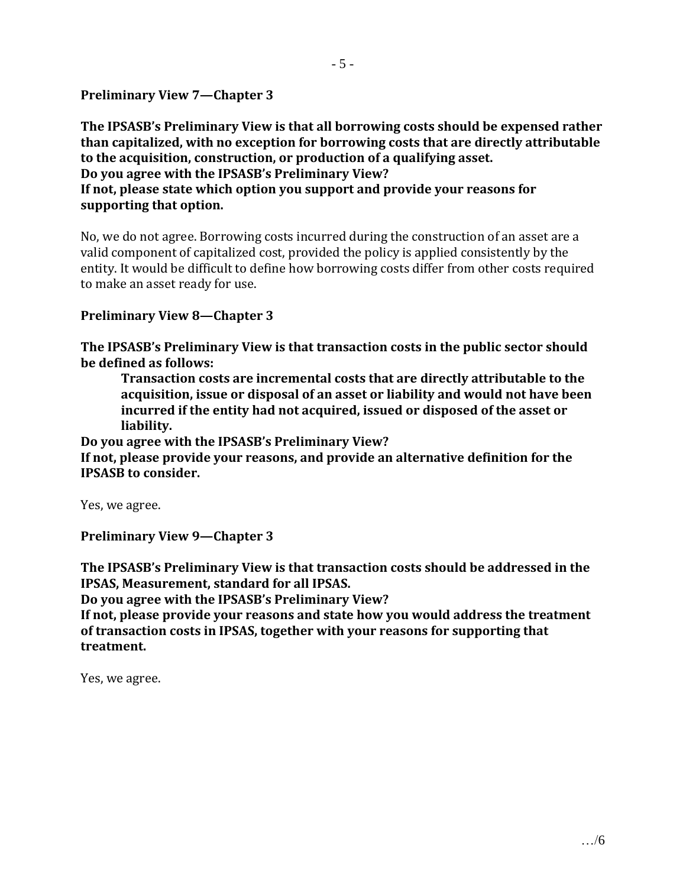**Preliminary View 7—Chapter 3** 

**The IPSASB's Preliminary View is that all borrowing costs should be expensed rather than capitalized, with no exception for borrowing costs that are directly attributable to the acquisition, construction, or production of a qualifying asset. Do you agree with the IPSASB's Preliminary View? If not, please state which option you support and provide your reasons for supporting that option.**

No, we do not agree. Borrowing costs incurred during the construction of an asset are a valid component of capitalized cost, provided the policy is applied consistently by the entity. It would be difficult to define how borrowing costs differ from other costs required to make an asset ready for use.

#### **Preliminary View 8—Chapter 3**

**The IPSASB's Preliminary View is that transaction costs in the public sector should be defined as follows:**

**Transaction costs are incremental costs that are directly attributable to the acquisition, issue or disposal of an asset or liability and would not have been incurred if the entity had not acquired, issued or disposed of the asset or liability.**

**Do you agree with the IPSASB's Preliminary View?**

**If not, please provide your reasons, and provide an alternative definition for the IPSASB to consider.**

Yes, we agree.

**Preliminary View 9—Chapter 3**

**The IPSASB's Preliminary View is that transaction costs should be addressed in the IPSAS, Measurement, standard for all IPSAS.**

**Do you agree with the IPSASB's Preliminary View?**

**If not, please provide your reasons and state how you would address the treatment of transaction costs in IPSAS, together with your reasons for supporting that treatment.**

Yes, we agree.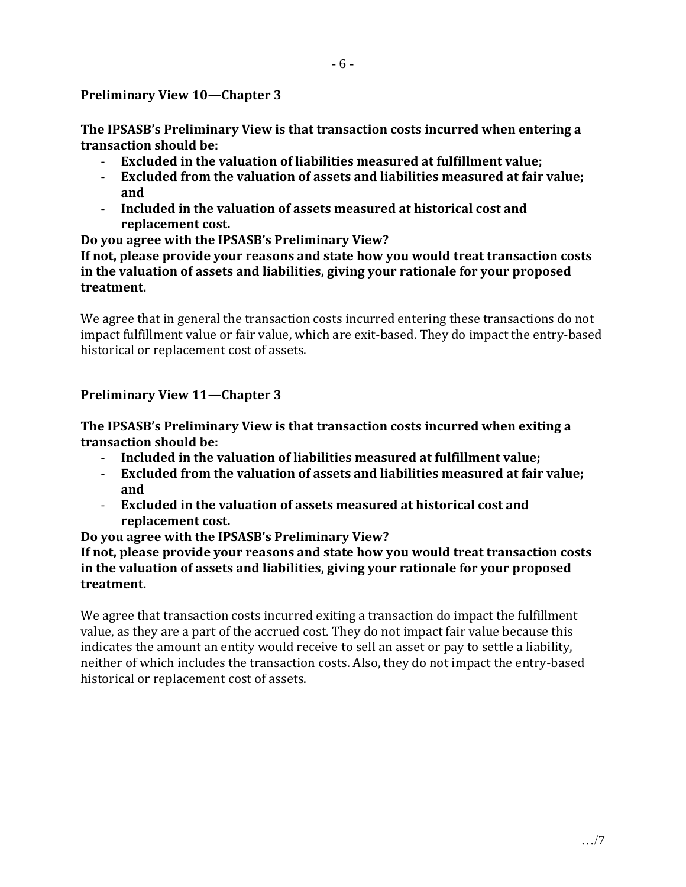#### **Preliminary View 10—Chapter 3**

**The IPSASB's Preliminary View is that transaction costs incurred when entering a transaction should be:**

- **Excluded in the valuation of liabilities measured at fulfillment value;**
- **Excluded from the valuation of assets and liabilities measured at fair value; and**
- **Included in the valuation of assets measured at historical cost and replacement cost.**

**Do you agree with the IPSASB's Preliminary View?**

**If not, please provide your reasons and state how you would treat transaction costs in the valuation of assets and liabilities, giving your rationale for your proposed treatment.**

We agree that in general the transaction costs incurred entering these transactions do not impact fulfillment value or fair value, which are exit-based. They do impact the entry-based historical or replacement cost of assets.

### **Preliminary View 11—Chapter 3**

**The IPSASB's Preliminary View is that transaction costs incurred when exiting a transaction should be:**

- **Included in the valuation of liabilities measured at fulfillment value;**
- **Excluded from the valuation of assets and liabilities measured at fair value; and**
- **Excluded in the valuation of assets measured at historical cost and replacement cost.**

**Do you agree with the IPSASB's Preliminary View?**

**If not, please provide your reasons and state how you would treat transaction costs in the valuation of assets and liabilities, giving your rationale for your proposed treatment.**

We agree that transaction costs incurred exiting a transaction do impact the fulfillment value, as they are a part of the accrued cost. They do not impact fair value because this indicates the amount an entity would receive to sell an asset or pay to settle a liability, neither of which includes the transaction costs. Also, they do not impact the entry-based historical or replacement cost of assets.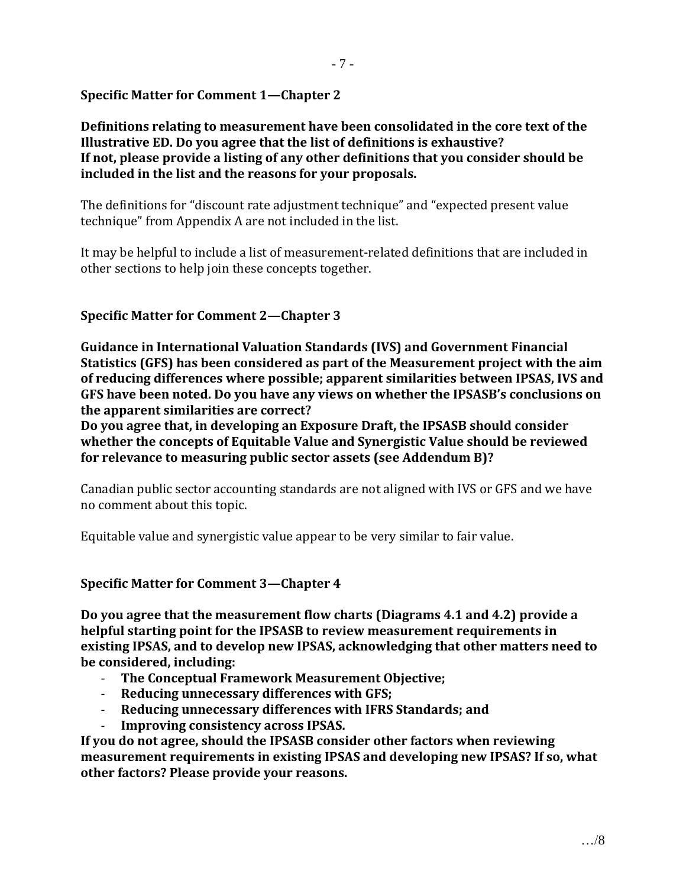# **Specific Matter for Comment 1—Chapter 2**

**Definitions relating to measurement have been consolidated in the core text of the Illustrative ED. Do you agree that the list of definitions is exhaustive? If not, please provide a listing of any other definitions that you consider should be included in the list and the reasons for your proposals.**

The definitions for "discount rate adjustment technique" and "expected present value technique" from Appendix A are not included in the list.

It may be helpful to include a list of measurement-related definitions that are included in other sections to help join these concepts together.

# **Specific Matter for Comment 2—Chapter 3**

**Guidance in International Valuation Standards (IVS) and Government Financial Statistics (GFS) has been considered as part of the Measurement project with the aim of reducing differences where possible; apparent similarities between IPSAS, IVS and GFS have been noted. Do you have any views on whether the IPSASB's conclusions on the apparent similarities are correct?**

**Do you agree that, in developing an Exposure Draft, the IPSASB should consider whether the concepts of Equitable Value and Synergistic Value should be reviewed for relevance to measuring public sector assets (see Addendum B)?**

Canadian public sector accounting standards are not aligned with IVS or GFS and we have no comment about this topic.

Equitable value and synergistic value appear to be very similar to fair value.

### **Specific Matter for Comment 3—Chapter 4**

**Do you agree that the measurement flow charts (Diagrams 4.1 and 4.2) provide a helpful starting point for the IPSASB to review measurement requirements in existing IPSAS, and to develop new IPSAS, acknowledging that other matters need to be considered, including:**

- **The Conceptual Framework Measurement Objective;**
- **Reducing unnecessary differences with GFS;**
- **Reducing unnecessary differences with IFRS Standards; and**
- **Improving consistency across IPSAS.**

**If you do not agree, should the IPSASB consider other factors when reviewing measurement requirements in existing IPSAS and developing new IPSAS? If so, what other factors? Please provide your reasons.**